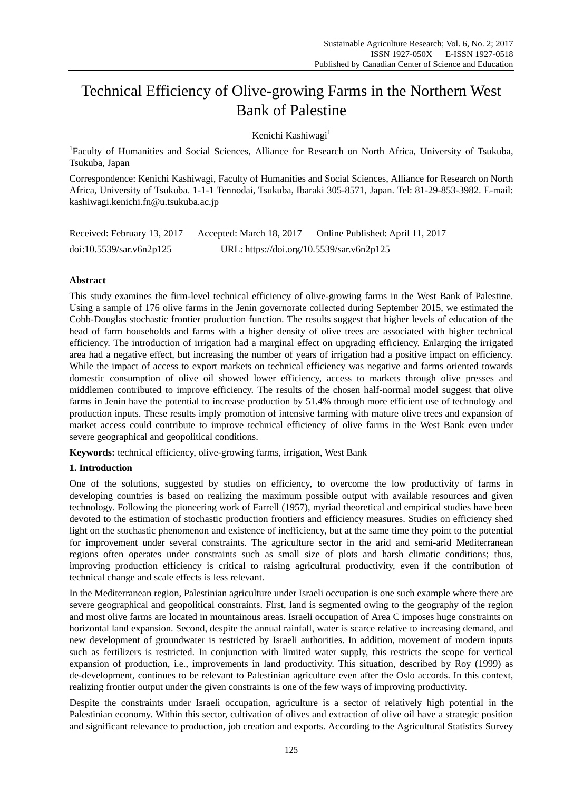# Technical Efficiency of Olive-growing Farms in the Northern West Bank of Palestine

Kenichi Kashiwagi<sup>1</sup>

<sup>1</sup>Faculty of Humanities and Social Sciences, Alliance for Research on North Africa, University of Tsukuba, Tsukuba, Japan

Correspondence: Kenichi Kashiwagi, Faculty of Humanities and Social Sciences, Alliance for Research on North Africa, University of Tsukuba. 1-1-1 Tennodai, Tsukuba, Ibaraki 305-8571, Japan. Tel: 81-29-853-3982. E-mail: kashiwagi.kenichi.fn@u.tsukuba.ac.jp

| Received: February 13, 2017 | Accepted: March 18, 2017                  | Online Published: April 11, 2017 |
|-----------------------------|-------------------------------------------|----------------------------------|
| doi:10.5539/sar.v6n2p125    | URL: https://doi.org/10.5539/sar.v6n2p125 |                                  |

# **Abstract**

This study examines the firm-level technical efficiency of olive-growing farms in the West Bank of Palestine. Using a sample of 176 olive farms in the Jenin governorate collected during September 2015, we estimated the Cobb-Douglas stochastic frontier production function. The results suggest that higher levels of education of the head of farm households and farms with a higher density of olive trees are associated with higher technical efficiency. The introduction of irrigation had a marginal effect on upgrading efficiency. Enlarging the irrigated area had a negative effect, but increasing the number of years of irrigation had a positive impact on efficiency. While the impact of access to export markets on technical efficiency was negative and farms oriented towards domestic consumption of olive oil showed lower efficiency, access to markets through olive presses and middlemen contributed to improve efficiency. The results of the chosen half-normal model suggest that olive farms in Jenin have the potential to increase production by 51.4% through more efficient use of technology and production inputs. These results imply promotion of intensive farming with mature olive trees and expansion of market access could contribute to improve technical efficiency of olive farms in the West Bank even under severe geographical and geopolitical conditions.

**Keywords:** technical efficiency, olive-growing farms, irrigation, West Bank

## **1. Introduction**

One of the solutions, suggested by studies on efficiency, to overcome the low productivity of farms in developing countries is based on realizing the maximum possible output with available resources and given technology. Following the pioneering work of Farrell (1957), myriad theoretical and empirical studies have been devoted to the estimation of stochastic production frontiers and efficiency measures. Studies on efficiency shed light on the stochastic phenomenon and existence of inefficiency, but at the same time they point to the potential for improvement under several constraints. The agriculture sector in the arid and semi-arid Mediterranean regions often operates under constraints such as small size of plots and harsh climatic conditions; thus, improving production efficiency is critical to raising agricultural productivity, even if the contribution of technical change and scale effects is less relevant.

In the Mediterranean region, Palestinian agriculture under Israeli occupation is one such example where there are severe geographical and geopolitical constraints. First, land is segmented owing to the geography of the region and most olive farms are located in mountainous areas. Israeli occupation of Area C imposes huge constraints on horizontal land expansion. Second, despite the annual rainfall, water is scarce relative to increasing demand, and new development of groundwater is restricted by Israeli authorities. In addition, movement of modern inputs such as fertilizers is restricted. In conjunction with limited water supply, this restricts the scope for vertical expansion of production, i.e., improvements in land productivity. This situation, described by Roy (1999) as de-development, continues to be relevant to Palestinian agriculture even after the Oslo accords. In this context, realizing frontier output under the given constraints is one of the few ways of improving productivity.

Despite the constraints under Israeli occupation, agriculture is a sector of relatively high potential in the Palestinian economy. Within this sector, cultivation of olives and extraction of olive oil have a strategic position and significant relevance to production, job creation and exports. According to the Agricultural Statistics Survey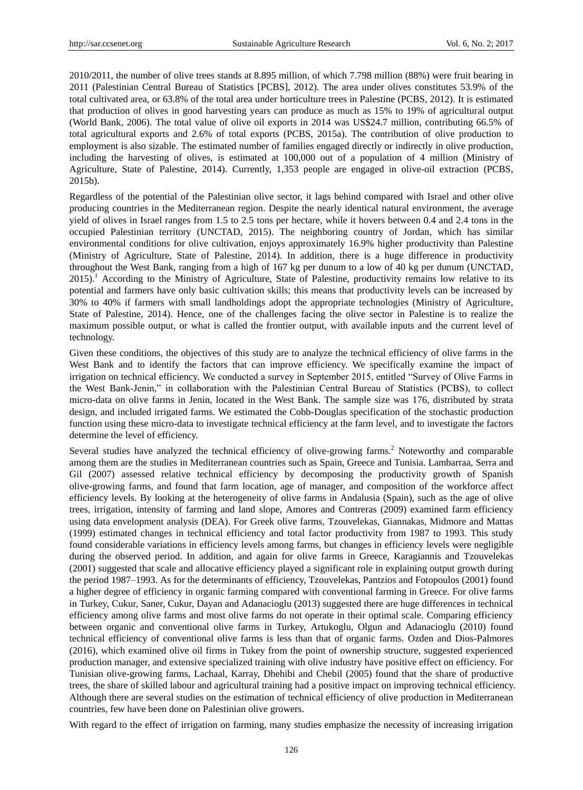2010/2011, the number of olive trees stands at 8.895 million, of which 7.798 million (88%) were fruit bearing in 2011 (Palestinian Central Bureau of Statistics [PCBS], 2012). The area under olives constitutes 53.9% of the total cultivated area, or 63.8% of the total area under horticulture trees in Palestine (PCBS, 2012). It is estimated that production of olives in good harvesting years can produce as much as 15% to 19% of agricultural output (World Bank, 2006). The total value of olive oil exports in 2014 was US\$24.7 million, contributing 66.5% of total agricultural exports and 2.6% of total exports (PCBS, 2015a). The contribution of olive production to employment is also sizable. The estimated number of families engaged directly or indirectly in olive production, including the harvesting of olives, is estimated at 100,000 out of a population of 4 million (Ministry of Agriculture, State of Palestine, 2014). Currently, 1,353 people are engaged in olive-oil extraction (PCBS, 2015b).

Regardless of the potential of the Palestinian olive sector, it lags behind compared with Israel and other olive producing countries in the Mediterranean region. Despite the nearly identical natural environment, the average yield of olives in Israel ranges from 1.5 to 2.5 tons per hectare, while it hovers between 0.4 and 2.4 tons in the occupied Palestinian territory (UNCTAD, 2015). The neighboring country of Jordan, which has similar environmental conditions for olive cultivation, enjoys approximately 16.9% higher productivity than Palestine (Ministry of Agriculture, State of Palestine, 2014). In addition, there is a huge difference in productivity throughout the West Bank, ranging from a high of 167 kg per dunum to a low of 40 kg per dunum (UNCTAD, 2015).<sup>1</sup> According to the Ministry of Agriculture, State of Palestine, productivity remains low relative to its potential and farmers have only basic cultivation skills; this means that productivity levels can be increased by 30% to 40% if farmers with small landholdings adopt the appropriate technologies (Ministry of Agriculture, State of Palestine, 2014). Hence, one of the challenges facing the olive sector in Palestine is to realize the maximum possible output, or what is called the frontier output, with available inputs and the current level of technology.

Given these conditions, the objectives of this study are to analyze the technical efficiency of olive farms in the West Bank and to identify the factors that can improve efficiency. We specifically examine the impact of irrigation on technical efficiency. We conducted a survey in September 2015, entitled "Survey of Olive Farms in the West Bank-Jenin," in collaboration with the Palestinian Central Bureau of Statistics (PCBS), to collect micro-data on olive farms in Jenin, located in the West Bank. The sample size was 176, distributed by strata design, and included irrigated farms. We estimated the Cobb-Douglas specification of the stochastic production function using these micro-data to investigate technical efficiency at the farm level, and to investigate the factors determine the level of efficiency.

Several studies have analyzed the technical efficiency of olive-growing farms.<sup>2</sup> Noteworthy and comparable among them are the studies in Mediterranean countries such as Spain, Greece and Tunisia. Lambarraa, Serra and Gil (2007) assessed relative technical efficiency by decomposing the productivity growth of Spanish olive-growing farms, and found that farm location, age of manager, and composition of the workforce affect efficiency levels. By looking at the heterogeneity of olive farms in Andalusia (Spain), such as the age of olive trees, irrigation, intensity of farming and land slope, Amores and Contreras (2009) examined farm efficiency using data envelopment analysis (DEA). For Greek olive farms, Tzouvelekas, Giannakas, Midmore and Mattas (1999) estimated changes in technical efficiency and total factor productivity from 1987 to 1993. This study found considerable variations in efficiency levels among farms, but changes in efficiency levels were negligible during the observed period. In addition, and again for olive farms in Greece, Karagiannis and Tzouvelekas (2001) suggested that scale and allocative efficiency played a significant role in explaining output growth during the period 1987–1993. As for the determinants of efficiency, Tzouvelekas, Pantzios and Fotopoulos (2001) found a higher degree of efficiency in organic farming compared with conventional farming in Greece. For olive farms in Turkey, Cukur, Saner, Cukur, Dayan and Adanacioglu (2013) suggested there are huge differences in technical efficiency among olive farms and most olive farms do not operate in their optimal scale. Comparing efficiency between organic and conventional olive farms in Turkey, Artukoglu, Olgun and Adanacioglu (2010) found technical efficiency of conventional olive farms is less than that of organic farms. Ozden and Dios-Palmores (2016), which examined olive oil firms in Tukey from the point of ownership structure, suggested experienced production manager, and extensive specialized training with olive industry have positive effect on efficiency. For Tunisian olive-growing farms, Lachaal, Karray, Dhehibi and Chebil (2005) found that the share of productive trees, the share of skilled labour and agricultural training had a positive impact on improving technical efficiency. Although there are several studies on the estimation of technical efficiency of olive production in Mediterranean countries, few have been done on Palestinian olive growers.

With regard to the effect of irrigation on farming, many studies emphasize the necessity of increasing irrigation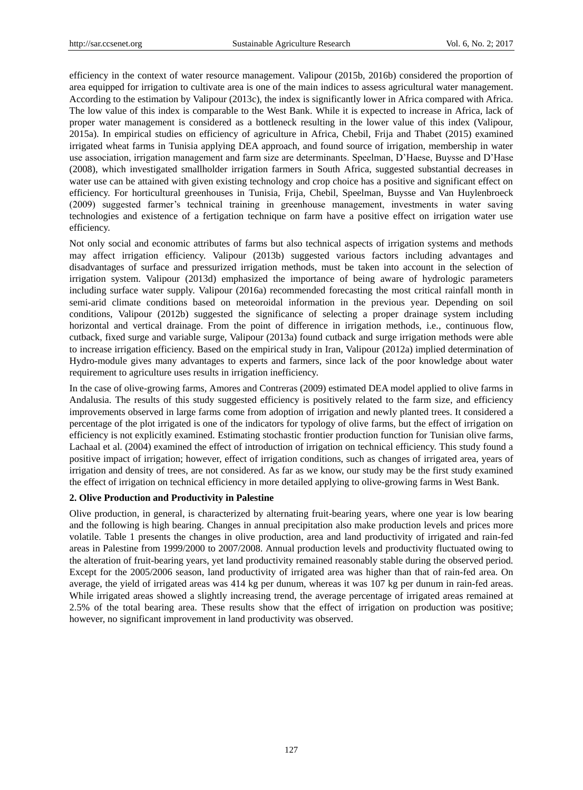efficiency in the context of water resource management. Valipour (2015b, 2016b) considered the proportion of area equipped for irrigation to cultivate area is one of the main indices to assess agricultural water management. According to the estimation by Valipour (2013c), the index is significantly lower in Africa compared with Africa. The low value of this index is comparable to the West Bank. While it is expected to increase in Africa, lack of proper water management is considered as a bottleneck resulting in the lower value of this index (Valipour, 2015a). In empirical studies on efficiency of agriculture in Africa, Chebil, Frija and Thabet (2015) examined irrigated wheat farms in Tunisia applying DEA approach, and found source of irrigation, membership in water use association, irrigation management and farm size are determinants. Speelman, D"Haese, Buysse and D"Hase (2008), which investigated smallholder irrigation farmers in South Africa, suggested substantial decreases in water use can be attained with given existing technology and crop choice has a positive and significant effect on efficiency. For horticultural greenhouses in Tunisia, Frija, Chebil, Speelman, Buysse and Van Huylenbroeck (2009) suggested farmer"s technical training in greenhouse management, investments in water saving technologies and existence of a fertigation technique on farm have a positive effect on irrigation water use efficiency.

Not only social and economic attributes of farms but also technical aspects of irrigation systems and methods may affect irrigation efficiency. Valipour (2013b) suggested various factors including advantages and disadvantages of surface and pressurized irrigation methods, must be taken into account in the selection of irrigation system. Valipour (2013d) emphasized the importance of being aware of hydrologic parameters including surface water supply. Valipour (2016a) recommended forecasting the most critical rainfall month in semi-arid climate conditions based on meteoroidal information in the previous year. Depending on soil conditions, Valipour (2012b) suggested the significance of selecting a proper drainage system including horizontal and vertical drainage. From the point of difference in irrigation methods, i.e., continuous flow, cutback, fixed surge and variable surge, Valipour (2013a) found cutback and surge irrigation methods were able to increase irrigation efficiency. Based on the empirical study in Iran, Valipour (2012a) implied determination of Hydro-module gives many advantages to experts and farmers, since lack of the poor knowledge about water requirement to agriculture uses results in irrigation inefficiency.

In the case of olive-growing farms, Amores and Contreras (2009) estimated DEA model applied to olive farms in Andalusia. The results of this study suggested efficiency is positively related to the farm size, and efficiency improvements observed in large farms come from adoption of irrigation and newly planted trees. It considered a percentage of the plot irrigated is one of the indicators for typology of olive farms, but the effect of irrigation on efficiency is not explicitly examined. Estimating stochastic frontier production function for Tunisian olive farms, Lachaal et al. (2004) examined the effect of introduction of irrigation on technical efficiency. This study found a positive impact of irrigation; however, effect of irrigation conditions, such as changes of irrigated area, years of irrigation and density of trees, are not considered. As far as we know, our study may be the first study examined the effect of irrigation on technical efficiency in more detailed applying to olive-growing farms in West Bank.

## **2. Olive Production and Productivity in Palestine**

Olive production, in general, is characterized by alternating fruit-bearing years, where one year is low bearing and the following is high bearing. Changes in annual precipitation also make production levels and prices more volatile. Table 1 presents the changes in olive production, area and land productivity of irrigated and rain-fed areas in Palestine from 1999/2000 to 2007/2008. Annual production levels and productivity fluctuated owing to the alteration of fruit-bearing years, yet land productivity remained reasonably stable during the observed period. Except for the 2005/2006 season, land productivity of irrigated area was higher than that of rain-fed area. On average, the yield of irrigated areas was 414 kg per dunum, whereas it was 107 kg per dunum in rain-fed areas. While irrigated areas showed a slightly increasing trend, the average percentage of irrigated areas remained at 2.5% of the total bearing area. These results show that the effect of irrigation on production was positive; however, no significant improvement in land productivity was observed.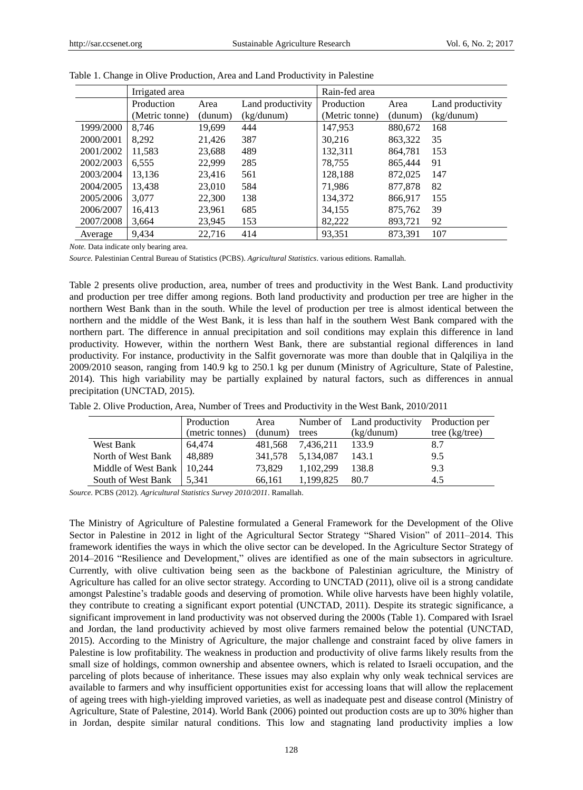|           | Irrigated area |         |                   | Rain-fed area  |         |                   |
|-----------|----------------|---------|-------------------|----------------|---------|-------------------|
|           | Production     | Area    | Land productivity | Production     | Area    | Land productivity |
|           | (Metric tonne) | (dunum) | (kg/dunum)        | (Metric tonne) | (dunum) | (kg/dunum)        |
| 1999/2000 | 8,746          | 19,699  | 444               | 147,953        | 880.672 | 168               |
| 2000/2001 | 8,292          | 21,426  | 387               | 30.216         | 863,322 | 35                |
| 2001/2002 | 11,583         | 23,688  | 489               | 132,311        | 864.781 | 153               |
| 2002/2003 | 6,555          | 22,999  | 285               | 78.755         | 865,444 | 91                |
| 2003/2004 | 13.136         | 23,416  | 561               | 128,188        | 872,025 | 147               |
| 2004/2005 | 13.438         | 23,010  | 584               | 71.986         | 877,878 | 82                |
| 2005/2006 | 3.077          | 22,300  | 138               | 134,372        | 866.917 | 155               |
| 2006/2007 | 16,413         | 23,961  | 685               | 34.155         | 875,762 | 39                |
| 2007/2008 | 3,664          | 23,945  | 153               | 82,222         | 893,721 | 92                |
| Average   | 9,434          | 22.716  | 414               | 93,351         | 873,391 | 107               |

|  |  | Table 1. Change in Olive Production, Area and Land Productivity in Palestine |  |  |  |
|--|--|------------------------------------------------------------------------------|--|--|--|
|--|--|------------------------------------------------------------------------------|--|--|--|

*Note.* Data indicate only bearing area.

*Source.* Palestinian Central Bureau of Statistics (PCBS). *Agricultural Statistics*. various editions. Ramallah.

Table 2 presents olive production, area, number of trees and productivity in the West Bank. Land productivity and production per tree differ among regions. Both land productivity and production per tree are higher in the northern West Bank than in the south. While the level of production per tree is almost identical between the northern and the middle of the West Bank, it is less than half in the southern West Bank compared with the northern part. The difference in annual precipitation and soil conditions may explain this difference in land productivity. However, within the northern West Bank, there are substantial regional differences in land productivity. For instance, productivity in the Salfit governorate was more than double that in Qalqiliya in the 2009/2010 season, ranging from 140.9 kg to 250.1 kg per dunum (Ministry of Agriculture, State of Palestine, 2014). This high variability may be partially explained by natural factors, such as differences in annual precipitation (UNCTAD, 2015).

|  | Table 2. Olive Production, Area, Number of Trees and Productivity in the West Bank, 2010/2011 |  |  |  |  |  |  |
|--|-----------------------------------------------------------------------------------------------|--|--|--|--|--|--|
|  |                                                                                               |  |  |  |  |  |  |

|                              | Production<br>(metric tonnes) | Area<br>(dunum) | trees     | Number of Land productivity<br>(kg/dunum) | Production per<br>tree $(kg$ /tree) |
|------------------------------|-------------------------------|-----------------|-----------|-------------------------------------------|-------------------------------------|
| West Bank                    | 64.474                        | 481.568         | 7.436.211 | 133.9                                     | 8.7                                 |
| North of West Bank           | 48.889                        | 341.578         | 5,134,087 | 143.1                                     | 9.5                                 |
| Middle of West Bank   10,244 |                               | 73,829          | 1.102.299 | 138.8                                     | 9.3                                 |
| South of West Bank           | 5.341                         | 66.161          | 1.199.825 | 80.7                                      | 4.5                                 |

*Source*. PCBS (2012). *Agricultural Statistics Survey 2010/2011*. Ramallah.

The Ministry of Agriculture of Palestine formulated a General Framework for the Development of the Olive Sector in Palestine in 2012 in light of the Agricultural Sector Strategy "Shared Vision" of 2011–2014. This framework identifies the ways in which the olive sector can be developed. In the Agriculture Sector Strategy of 2014–2016 "Resilience and Development," olives are identified as one of the main subsectors in agriculture. Currently, with olive cultivation being seen as the backbone of Palestinian agriculture, the Ministry of Agriculture has called for an olive sector strategy. According to UNCTAD (2011), olive oil is a strong candidate amongst Palestine"s tradable goods and deserving of promotion. While olive harvests have been highly volatile, they contribute to creating a significant export potential (UNCTAD, 2011). Despite its strategic significance, a significant improvement in land productivity was not observed during the 2000s (Table 1). Compared with Israel and Jordan, the land productivity achieved by most olive farmers remained below the potential (UNCTAD, 2015). According to the Ministry of Agriculture, the major challenge and constraint faced by olive famers in Palestine is low profitability. The weakness in production and productivity of olive farms likely results from the small size of holdings, common ownership and absentee owners, which is related to Israeli occupation, and the parceling of plots because of inheritance. These issues may also explain why only weak technical services are available to farmers and why insufficient opportunities exist for accessing loans that will allow the replacement of ageing trees with high-yielding improved varieties, as well as inadequate pest and disease control (Ministry of Agriculture, State of Palestine, 2014). World Bank (2006) pointed out production costs are up to 30% higher than in Jordan, despite similar natural conditions. This low and stagnating land productivity implies a low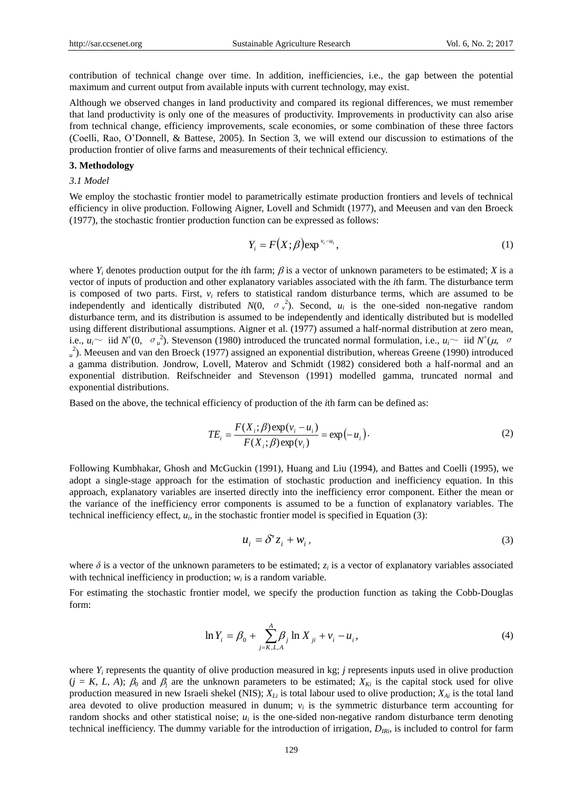contribution of technical change over time. In addition, inefficiencies, i.e., the gap between the potential maximum and current output from available inputs with current technology, may exist.

Although we observed changes in land productivity and compared its regional differences, we must remember that land productivity is only one of the measures of productivity. Improvements in productivity can also arise from technical change, efficiency improvements, scale economies, or some combination of these three factors (Coelli, Rao, O"Donnell, & Battese, 2005). In Section 3, we will extend our discussion to estimations of the production frontier of olive farms and measurements of their technical efficiency.

#### **3. Methodology**

*3.1 Model*

We employ the stochastic frontier model to parametrically estimate production frontiers and levels of technical efficiency in olive production. Following Aigner, Lovell and Schmidt (1977), and Meeusen and van den Broeck (1977), the stochastic frontier production function can be expressed as follows:

$$
Y_i = F(X; \beta) \exp^{\nu_i - u_i}, \tag{1}
$$

where  $Y_i$  denotes production output for the *i*th farm;  $\beta$  is a vector of unknown parameters to be estimated; *X* is a vector of inputs of production and other explanatory variables associated with the *i*th farm. The disturbance term is composed of two parts. First,  $v_i$  refers to statistical random disturbance terms, which are assumed to be independently and identically distributed  $N(0, \sigma_v^2)$ . Second,  $u_i$  is the one-sided non-negative random disturbance term, and its distribution is assumed to be independently and identically distributed but is modelled using different distributional assumptions. Aigner et al. (1977) assumed a half-normal distribution at zero mean, i.e.,  $u_i \sim \text{iid } N^+(0, \sigma_u^2)$ . Stevenson (1980) introduced the truncated normal formulation, i.e.,  $u_i \sim \text{iid } N^+(\mu, \sigma_u)$  $u^2$ ). Meeusen and van den Broeck (1977) assigned an exponential distribution, whereas Greene (1990) introduced a gamma distribution. Jondrow, Lovell, Materov and Schmidt (1982) considered both a half-normal and an exponential distribution. Reifschneider and Stevenson (1991) modelled gamma, truncated normal and exponential distributions.

Based on the above, the technical efficiency of production of the *i*th farm can be defined as:

$$
TE_i = \frac{F(X_i; \beta) \exp(v_i - u_i)}{F(X_i; \beta) \exp(v_i)} = \exp(-u_i).
$$
 (2)

Following Kumbhakar, Ghosh and McGuckin (1991), Huang and Liu (1994), and Battes and Coelli (1995), we adopt a single-stage approach for the estimation of stochastic production and inefficiency equation. In this approach, explanatory variables are inserted directly into the inefficiency error component. Either the mean or the variance of the inefficiency error components is assumed to be a function of explanatory variables. The technical inefficiency effect,  $u_i$ , in the stochastic frontier model is specified in Equation  $(3)$ :

$$
u_i = \delta' z_i + w_i, \tag{3}
$$

where  $\delta$  is a vector of the unknown parameters to be estimated;  $z_i$  is a vector of explanatory variables associated with technical inefficiency in production;  $w_i$  is a random variable.

For estimating the stochastic frontier model, we specify the production function as taking the Cobb-Douglas form:

$$
\ln Y_i = \beta_0 + \sum_{j=K,L,A}^{A} \beta_j \ln X_{ji} + v_i - u_i,
$$
\n(4)

where *Y<sup>i</sup>* represents the quantity of olive production measured in kg; *j* represents inputs used in olive production  $(j = K, L, A)$ ;  $\beta_0$  and  $\beta_j$  are the unknown parameters to be estimated;  $X_{Ki}$  is the capital stock used for olive production measured in new Israeli shekel (NIS); *XLi* is total labour used to olive production; *XAi* is the total land area devoted to olive production measured in dunum;  $v_i$  is the symmetric disturbance term accounting for random shocks and other statistical noise;  $u_i$  is the one-sided non-negative random disturbance term denoting technical inefficiency. The dummy variable for the introduction of irrigation, *DIRi*, is included to control for farm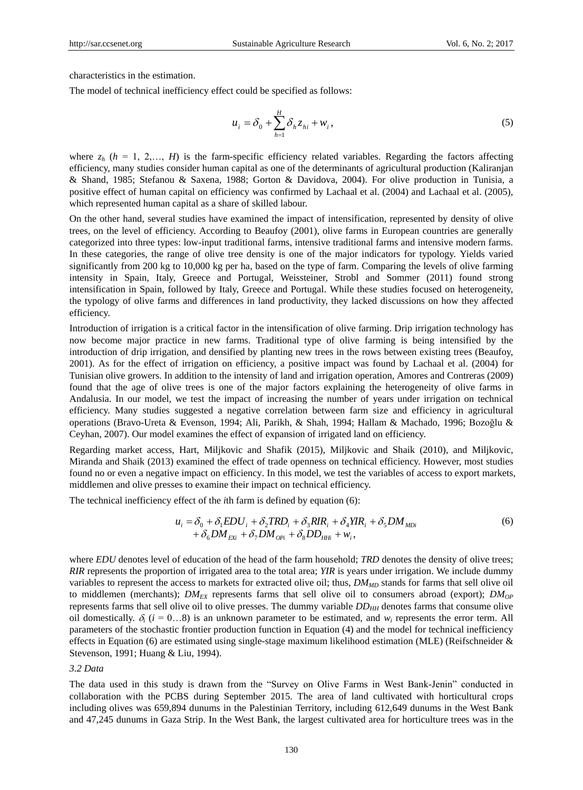characteristics in the estimation.

The model of technical inefficiency effect could be specified as follows:

$$
u_i = \delta_0 + \sum_{h=1}^{H} \delta_h z_{hi} + w_i, \qquad (5)
$$

where  $z_h$  ( $h = 1, 2,..., H$ ) is the farm-specific efficiency related variables. Regarding the factors affecting efficiency, many studies consider human capital as one of the determinants of agricultural production (Kaliranjan & Shand, 1985; Stefanou & Saxena, 1988; Gorton & Davidova, 2004). For olive production in Tunisia, a positive effect of human capital on efficiency was confirmed by Lachaal et al. (2004) and Lachaal et al. (2005), which represented human capital as a share of skilled labour.

On the other hand, several studies have examined the impact of intensification, represented by density of olive trees, on the level of efficiency. According to Beaufoy (2001), olive farms in European countries are generally categorized into three types: low-input traditional farms, intensive traditional farms and intensive modern farms. In these categories, the range of olive tree density is one of the major indicators for typology. Yields varied significantly from 200 kg to 10,000 kg per ha, based on the type of farm. Comparing the levels of olive farming intensity in Spain, Italy, Greece and Portugal, Weissteiner, Strobl and Sommer (2011) found strong intensification in Spain, followed by Italy, Greece and Portugal. While these studies focused on heterogeneity, the typology of olive farms and differences in land productivity, they lacked discussions on how they affected efficiency.

Introduction of irrigation is a critical factor in the intensification of olive farming. Drip irrigation technology has now become major practice in new farms. Traditional type of olive farming is being intensified by the introduction of drip irrigation, and densified by planting new trees in the rows between existing trees (Beaufoy, 2001). As for the effect of irrigation on efficiency, a positive impact was found by Lachaal et al. (2004) for Tunisian olive growers. In addition to the intensity of land and irrigation operation, Amores and Contreras (2009) found that the age of olive trees is one of the major factors explaining the heterogeneity of olive farms in Andalusia. In our model, we test the impact of increasing the number of years under irrigation on technical efficiency. Many studies suggested a negative correlation between farm size and efficiency in agricultural operations (Bravo-Ureta & Evenson, 1994; Ali, Parikh, & Shah, 1994; Hallam & Machado, 1996; Bozoğlu & Ceyhan, 2007). Our model examines the effect of expansion of irrigated land on efficiency.

Regarding market access, Hart, Miljkovic and Shafik (2015), Miljkovic and Shaik (2010), and Miljkovic, Miranda and Shaik (2013) examined the effect of trade openness on technical efficiency. However, most studies found no or even a negative impact on efficiency. In this model, we test the variables of access to export markets, middlemen and olive presses to examine their impact on technical efficiency.

The technical inefficiency effect of the *i*th farm is defined by equation (6):

$$
u_i = \delta_0 + \delta_1 EDU_i + \delta_2 TRD_i + \delta_3 RIR_i + \delta_4 YIR_i + \delta_5 DM_{MDi} + \delta_6 DM_{EXi} + \delta_7 DM_{OPi} + \delta_8 DD_{HHi} + w_i,
$$
 (6)

where *EDU* denotes level of education of the head of the farm household; *TRD* denotes the density of olive trees; *RIR* represents the proportion of irrigated area to the total area; *YIR* is years under irrigation. We include dummy variables to represent the access to markets for extracted olive oil; thus,  $DM_{MD}$  stands for farms that sell olive oil to middlemen (merchants); *DMEX* represents farms that sell olive oil to consumers abroad (export); *DMOP* represents farms that sell olive oil to olive presses. The dummy variable *DDHH* denotes farms that consume olive oil domestically.  $\delta_i$  ( $i = 0...8$ ) is an unknown parameter to be estimated, and  $w_i$  represents the error term. All parameters of the stochastic frontier production function in Equation (4) and the model for technical inefficiency effects in Equation (6) are estimated using single-stage maximum likelihood estimation (MLE) (Reifschneider & Stevenson, 1991; Huang & Liu, 1994).

*3.2 Data*

The data used in this study is drawn from the "Survey on Olive Farms in West Bank-Jenin" conducted in collaboration with the PCBS during September 2015. The area of land cultivated with horticultural crops including olives was 659,894 dunums in the Palestinian Territory, including 612,649 dunums in the West Bank and 47,245 dunums in Gaza Strip. In the West Bank, the largest cultivated area for horticulture trees was in the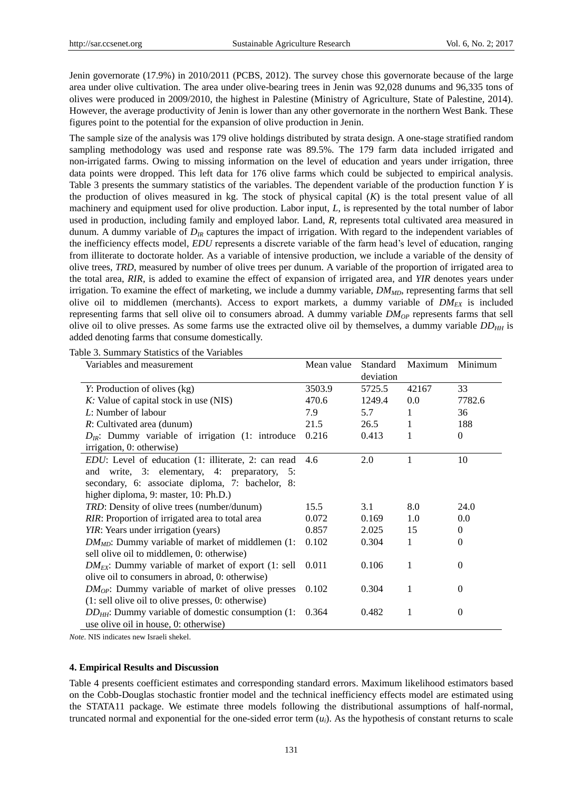Jenin governorate (17.9%) in 2010/2011 (PCBS, 2012). The survey chose this governorate because of the large area under olive cultivation. The area under olive-bearing trees in Jenin was 92,028 dunums and 96,335 tons of olives were produced in 2009/2010, the highest in Palestine (Ministry of Agriculture, State of Palestine, 2014). However, the average productivity of Jenin is lower than any other governorate in the northern West Bank. These figures point to the potential for the expansion of olive production in Jenin.

The sample size of the analysis was 179 olive holdings distributed by strata design. A one-stage stratified random sampling methodology was used and response rate was 89.5%. The 179 farm data included irrigated and non-irrigated farms. Owing to missing information on the level of education and years under irrigation, three data points were dropped. This left data for 176 olive farms which could be subjected to empirical analysis. Table 3 presents the summary statistics of the variables. The dependent variable of the production function *Y* is the production of olives measured in kg. The stock of physical capital (*K*) is the total present value of all machinery and equipment used for olive production. Labor input, *L*, is represented by the total number of labor used in production, including family and employed labor. Land, *R*, represents total cultivated area measured in dunum. A dummy variable of  $D_{IR}$  captures the impact of irrigation. With regard to the independent variables of the inefficiency effects model, *EDU* represents a discrete variable of the farm head's level of education, ranging from illiterate to doctorate holder. As a variable of intensive production, we include a variable of the density of olive trees, *TRD*, measured by number of olive trees per dunum. A variable of the proportion of irrigated area to the total area, *RIR,* is added to examine the effect of expansion of irrigated area, and *YIR* denotes years under irrigation. To examine the effect of marketing, we include a dummy variable, *DMMD*, representing farms that sell olive oil to middlemen (merchants). Access to export markets, a dummy variable of *DMEX* is included representing farms that sell olive oil to consumers abroad. A dummy variable *DMOP* represents farms that sell olive oil to olive presses. As some farms use the extracted olive oil by themselves, a dummy variable *DDHH* is added denoting farms that consume domestically.

Table 3. Summary Statistics of the Variables

| Variables and measurement                               | Mean value | Standard  | Maximum | Minimum  |
|---------------------------------------------------------|------------|-----------|---------|----------|
|                                                         |            | deviation |         |          |
| $Y:$ Production of olives $(kg)$                        | 3503.9     | 5725.5    | 42167   | 33       |
| K: Value of capital stock in use (NIS)                  | 470.6      | 1249.4    | 0.0     | 7782.6   |
| L: Number of labour                                     | 7.9        | 5.7       | 1       | 36       |
| <i>R</i> : Cultivated area (dunum)                      | 21.5       | 26.5      | 1       | 188      |
| $D_{IR}$ : Dummy variable of irrigation (1: introduce   | 0.216      | 0.413     | 1       | $\Omega$ |
| irrigation, 0: otherwise)                               |            |           |         |          |
| EDU: Level of education (1: illiterate, 2: can read 4.6 |            | 2.0       | 1       | 10       |
| and write, 3: elementary, 4: preparatory, 5:            |            |           |         |          |
| secondary, 6: associate diploma, 7: bachelor, 8:        |            |           |         |          |
| higher diploma, 9: master, 10: Ph.D.)                   |            |           |         |          |
| <i>TRD</i> : Density of olive trees (number/dunum)      | 15.5       | 3.1       | 8.0     | 24.0     |
| RIR: Proportion of irrigated area to total area         | 0.072      | 0.169     | 1.0     | 0.0      |
| <i>YIR</i> : Years under irrigation (years)             | 0.857      | 2.025     | 15      | $\theta$ |
| $DM_{MD}$ : Dummy variable of market of middlemen (1:   | 0.102      | 0.304     | 1       | $\Omega$ |
| sell olive oil to middlemen, 0: otherwise)              |            |           |         |          |
| $DM_{EX}$ : Dummy variable of market of export (1: sell | 0.011      | 0.106     | 1       | $\Omega$ |
| olive oil to consumers in abroad, 0: otherwise)         |            |           |         |          |
| $DM_{OP}$ : Dummy variable of market of olive presses   | 0.102      | 0.304     | 1       | $\theta$ |
| $(1:$ sell olive oil to olive presses, 0: otherwise)    |            |           |         |          |
| $DDHH$ : Dummy variable of domestic consumption (1:     | 0.364      | 0.482     | 1       | $\theta$ |
| use olive oil in house, 0: otherwise)                   |            |           |         |          |

*Note*. NIS indicates new Israeli shekel.

#### **4. Empirical Results and Discussion**

Table 4 presents coefficient estimates and corresponding standard errors. Maximum likelihood estimators based on the Cobb-Douglas stochastic frontier model and the technical inefficiency effects model are estimated using the STATA11 package. We estimate three models following the distributional assumptions of half-normal, truncated normal and exponential for the one-sided error term (*ui*). As the hypothesis of constant returns to scale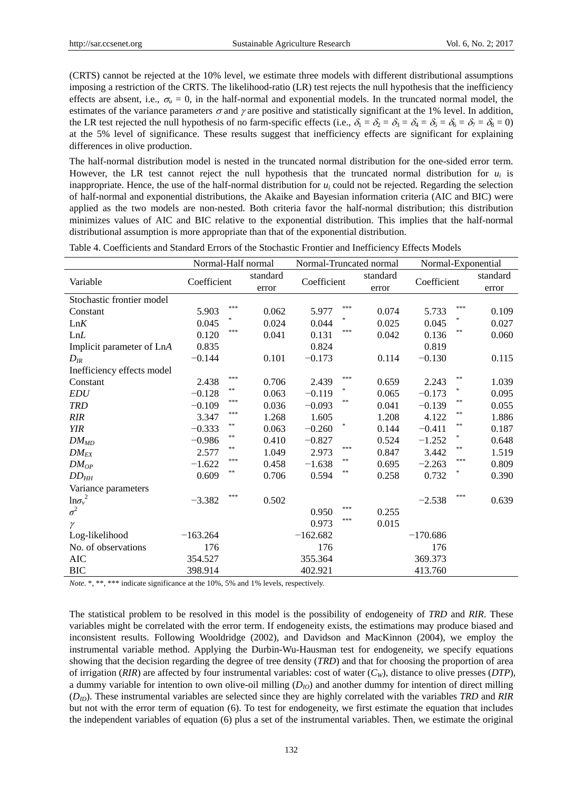(CRTS) cannot be rejected at the 10% level, we estimate three models with different distributional assumptions imposing a restriction of the CRTS. The likelihood-ratio (LR) test rejects the null hypothesis that the inefficiency effects are absent, i.e.,  $\sigma_{\mu} = 0$ , in the half-normal and exponential models. In the truncated normal model, the estimates of the variance parameters  $\sigma$  and  $\gamma$  are positive and statistically significant at the 1% level. In addition, the LR test rejected the null hypothesis of no farm-specific effects (i.e.,  $\delta_1 = \delta_2 = \delta_3 = \delta_4 = \delta_5 = \delta_6 = \delta_7 = \delta_8 = 0$ ) at the 5% level of significance. These results suggest that inefficiency effects are significant for explaining differences in olive production.

The half-normal distribution model is nested in the truncated normal distribution for the one-sided error term. However, the LR test cannot reject the null hypothesis that the truncated normal distribution for  $u_i$  is inappropriate. Hence, the use of the half-normal distribution for  $u_i$  could not be rejected. Regarding the selection of half-normal and exponential distributions, the Akaike and Bayesian information criteria (AIC and BIC) were applied as the two models are non-nested. Both criteria favor the half-normal distribution; this distribution minimizes values of AIC and BIC relative to the exponential distribution. This implies that the half-normal distributional assumption is more appropriate than that of the exponential distribution.

|                            | Normal-Half normal |     |          | Normal-Truncated normal |        |          | Normal-Exponential |     |          |
|----------------------------|--------------------|-----|----------|-------------------------|--------|----------|--------------------|-----|----------|
| Variable                   | Coefficient        |     | standard | Coefficient             |        | standard | Coefficient        |     | standard |
|                            |                    |     | error    |                         |        | error    |                    |     | error    |
| Stochastic frontier model  |                    |     |          |                         |        |          |                    |     |          |
| Constant                   | 5.903              | *** | 0.062    | 5.977                   | ***    | 0.074    | 5.733              | *** | 0.109    |
| LnK                        | 0.045              | *   | 0.024    | 0.044                   | *      | 0.025    | 0.045              |     | 0.027    |
| LnL                        | 0.120              | *** | 0.041    | 0.131                   | ***    | 0.042    | 0.136              | **  | 0.060    |
| Implicit parameter of LnA  | 0.835              |     |          | 0.824                   |        |          | 0.819              |     |          |
| $D_{\mathit{IR}}$          | $-0.144$           |     | 0.101    | $-0.173$                |        | 0.114    | $-0.130$           |     | 0.115    |
| Inefficiency effects model |                    |     |          |                         |        |          |                    |     |          |
| Constant                   | 2.438              | *** | 0.706    | 2.439                   | ***    | 0.659    | 2.243              | **  | 1.039    |
| EDU                        | $-0.128$           | **  | 0.063    | $-0.119$                |        | 0.065    | $-0.173$           |     | 0.095    |
| <b>TRD</b>                 | $-0.109$           | *** | 0.036    | $-0.093$                | **     | 0.041    | $-0.139$           | **  | 0.055    |
| <b>RIR</b>                 | 3.347              | *** | 1.268    | 1.605                   |        | 1.208    | 4.122              | **  | 1.886    |
| <b>YIR</b>                 | $-0.333$           | **  | 0.063    | $-0.260$                | $\ast$ | 0.144    | $-0.411$           | **  | 0.187    |
| $DM_{MD}$                  | $-0.986$           | **  | 0.410    | $-0.827$                |        | 0.524    | $-1.252$           |     | 0.648    |
| $DM_{EX}$                  | 2.577              | **  | 1.049    | 2.973                   | ***    | 0.847    | 3.442              | **  | 1.519    |
| $DM_{OP}$                  | $-1.622$           | *** | 0.458    | $-1.638$                | **     | 0.695    | $-2.263$           | *** | 0.809    |
| $DD_{HH}$                  | 0.609              | **  | 0.706    | 0.594                   | **     | 0.258    | 0.732              | *   | 0.390    |
| Variance parameters        |                    |     |          |                         |        |          |                    |     |          |
| $ln\sigma_v^2$             | $-3.382$           | *** | 0.502    |                         |        |          | $-2.538$           | *** | 0.639    |
| $\sigma^2$                 |                    |     |          | 0.950                   | ***    | 0.255    |                    |     |          |
| $\gamma$                   |                    |     |          | 0.973                   | ***    | 0.015    |                    |     |          |
| Log-likelihood             | $-163.264$         |     |          | $-162.682$              |        |          | $-170.686$         |     |          |
| No. of observations        | 176                |     |          | 176                     |        |          | 176                |     |          |
| <b>AIC</b>                 | 354.527            |     |          | 355.364                 |        |          | 369.373            |     |          |
| <b>BIC</b>                 | 398.914            |     |          | 402.921                 |        |          | 413.760            |     |          |

Table 4. Coefficients and Standard Errors of the Stochastic Frontier and Inefficiency Effects Models

*Note*. \*, \*\*, \*\*\* indicate significance at the 10%, 5% and 1% levels, respectively.

The statistical problem to be resolved in this model is the possibility of endogeneity of *TRD* and *RIR*. These variables might be correlated with the error term. If endogeneity exists, the estimations may produce biased and inconsistent results. Following Wooldridge (2002), and Davidson and MacKinnon (2004), we employ the instrumental variable method. Applying the Durbin-Wu-Hausman test for endogeneity, we specify equations showing that the decision regarding the degree of tree density (*TRD*) and that for choosing the proportion of area of irrigation (*RIR*) are affected by four instrumental variables: cost of water (*CW*), distance to olive presses (*DTP*), a dummy variable for intention to own olive-oil milling ( $D_{IO}$ ) and another dummy for intention of direct milling (*DID*). These instrumental variables are selected since they are highly correlated with the variables *TRD* and *RIR* but not with the error term of equation (6). To test for endogeneity, we first estimate the equation that includes the independent variables of equation (6) plus a set of the instrumental variables. Then, we estimate the original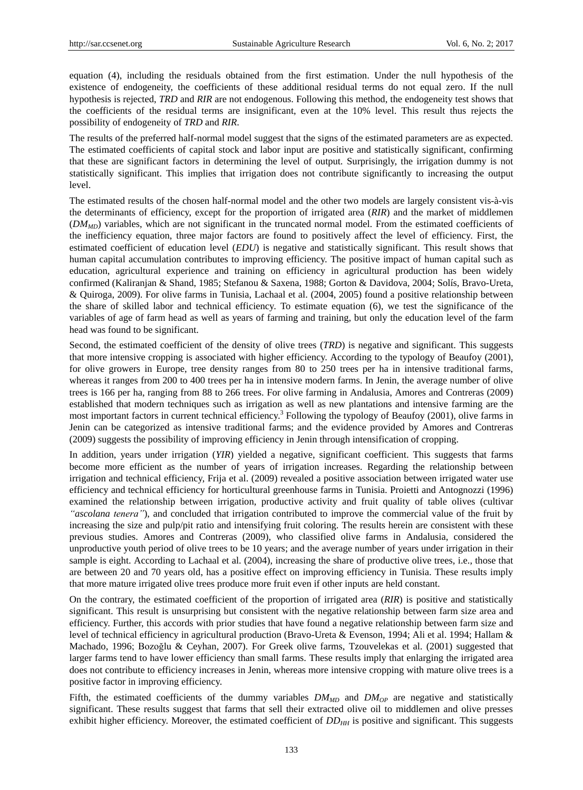equation (4), including the residuals obtained from the first estimation. Under the null hypothesis of the existence of endogeneity, the coefficients of these additional residual terms do not equal zero. If the null hypothesis is rejected, *TRD* and *RIR* are not endogenous. Following this method, the endogeneity test shows that the coefficients of the residual terms are insignificant, even at the 10% level. This result thus rejects the possibility of endogeneity of *TRD* and *RIR*.

The results of the preferred half-normal model suggest that the signs of the estimated parameters are as expected. The estimated coefficients of capital stock and labor input are positive and statistically significant, confirming that these are significant factors in determining the level of output. Surprisingly, the irrigation dummy is not statistically significant. This implies that irrigation does not contribute significantly to increasing the output level.

The estimated results of the chosen half-normal model and the other two models are largely consistent vis- $\grave{a}$ -vis the determinants of efficiency, except for the proportion of irrigated area (*RIR*) and the market of middlemen (*DMMD*) variables, which are not significant in the truncated normal model. From the estimated coefficients of the inefficiency equation, three major factors are found to positively affect the level of efficiency. First, the estimated coefficient of education level (*EDU*) is negative and statistically significant. This result shows that human capital accumulation contributes to improving efficiency. The positive impact of human capital such as education, agricultural experience and training on efficiency in agricultural production has been widely confirmed (Kaliranjan & Shand, 1985; Stefanou & Saxena, 1988; Gorton & Davidova, 2004; Solís, Bravo-Ureta, & Quiroga, 2009). For olive farms in Tunisia, Lachaal et al. (2004, 2005) found a positive relationship between the share of skilled labor and technical efficiency. To estimate equation (6), we test the significance of the variables of age of farm head as well as years of farming and training, but only the education level of the farm head was found to be significant.

Second, the estimated coefficient of the density of olive trees (*TRD*) is negative and significant. This suggests that more intensive cropping is associated with higher efficiency. According to the typology of Beaufoy (2001), for olive growers in Europe, tree density ranges from 80 to 250 trees per ha in intensive traditional farms, whereas it ranges from 200 to 400 trees per ha in intensive modern farms. In Jenin, the average number of olive trees is 166 per ha, ranging from 88 to 266 trees. For olive farming in Andalusia, Amores and Contreras (2009) established that modern techniques such as irrigation as well as new plantations and intensive farming are the most important factors in current technical efficiency.<sup>3</sup> Following the typology of Beaufoy (2001), olive farms in Jenin can be categorized as intensive traditional farms; and the evidence provided by Amores and Contreras (2009) suggests the possibility of improving efficiency in Jenin through intensification of cropping.

In addition, years under irrigation (*YIR*) yielded a negative, significant coefficient. This suggests that farms become more efficient as the number of years of irrigation increases. Regarding the relationship between irrigation and technical efficiency, Frija et al. (2009) revealed a positive association between irrigated water use efficiency and technical efficiency for horticultural greenhouse farms in Tunisia. Proietti and Antognozzi (1996) examined the relationship between irrigation, productive activity and fruit quality of table olives (cultivar *"ascolana tenera"*), and concluded that irrigation contributed to improve the commercial value of the fruit by increasing the size and pulp/pit ratio and intensifying fruit coloring. The results herein are consistent with these previous studies. Amores and Contreras (2009), who classified olive farms in Andalusia, considered the unproductive youth period of olive trees to be 10 years; and the average number of years under irrigation in their sample is eight. According to Lachaal et al. (2004), increasing the share of productive olive trees, i.e., those that are between 20 and 70 years old, has a positive effect on improving efficiency in Tunisia. These results imply that more mature irrigated olive trees produce more fruit even if other inputs are held constant.

On the contrary, the estimated coefficient of the proportion of irrigated area (*RIR*) is positive and statistically significant. This result is unsurprising but consistent with the negative relationship between farm size area and efficiency. Further, this accords with prior studies that have found a negative relationship between farm size and level of technical efficiency in agricultural production (Bravo-Ureta & Evenson, 1994; Ali et al. 1994; Hallam & Machado, 1996; Bozoğlu & Ceyhan, 2007). For Greek olive farms, Tzouvelekas et al. (2001) suggested that larger farms tend to have lower efficiency than small farms. These results imply that enlarging the irrigated area does not contribute to efficiency increases in Jenin, whereas more intensive cropping with mature olive trees is a positive factor in improving efficiency.

Fifth, the estimated coefficients of the dummy variables  $DM_{MD}$  and  $DM_{OP}$  are negative and statistically significant. These results suggest that farms that sell their extracted olive oil to middlemen and olive presses exhibit higher efficiency. Moreover, the estimated coefficient of *DD<sub>HH</sub>* is positive and significant. This suggests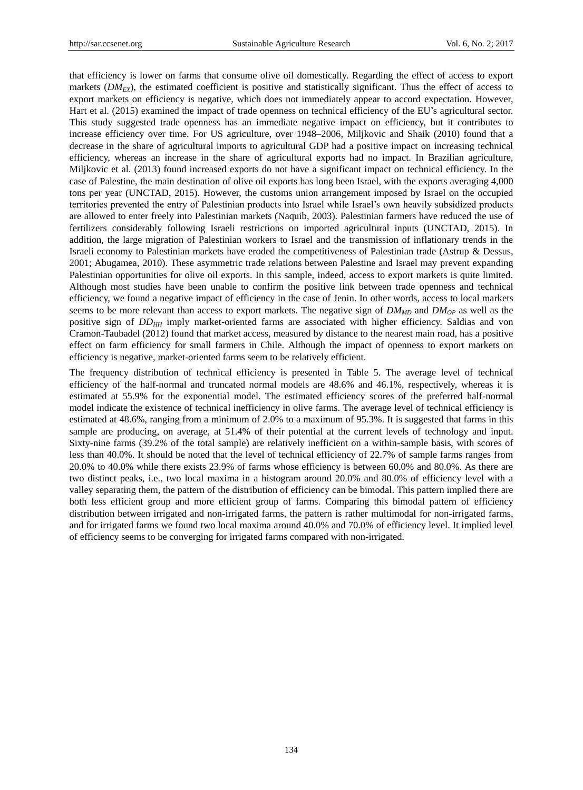that efficiency is lower on farms that consume olive oil domestically. Regarding the effect of access to export markets ( $DM_{EX}$ ), the estimated coefficient is positive and statistically significant. Thus the effect of access to export markets on efficiency is negative, which does not immediately appear to accord expectation. However, Hart et al. (2015) examined the impact of trade openness on technical efficiency of the EU"s agricultural sector. This study suggested trade openness has an immediate negative impact on efficiency, but it contributes to increase efficiency over time. For US agriculture, over 1948–2006, Miljkovic and Shaik (2010) found that a decrease in the share of agricultural imports to agricultural GDP had a positive impact on increasing technical efficiency, whereas an increase in the share of agricultural exports had no impact. In Brazilian agriculture, Miljkovic et al. (2013) found increased exports do not have a significant impact on technical efficiency. In the case of Palestine, the main destination of olive oil exports has long been Israel, with the exports averaging 4,000 tons per year (UNCTAD, 2015). However, the customs union arrangement imposed by Israel on the occupied territories prevented the entry of Palestinian products into Israel while Israel"s own heavily subsidized products are allowed to enter freely into Palestinian markets (Naquib, 2003). Palestinian farmers have reduced the use of fertilizers considerably following Israeli restrictions on imported agricultural inputs (UNCTAD, 2015). In addition, the large migration of Palestinian workers to Israel and the transmission of inflationary trends in the Israeli economy to Palestinian markets have eroded the competitiveness of Palestinian trade (Astrup & Dessus, 2001; Abugamea, 2010). These asymmetric trade relations between Palestine and Israel may prevent expanding Palestinian opportunities for olive oil exports. In this sample, indeed, access to export markets is quite limited. Although most studies have been unable to confirm the positive link between trade openness and technical efficiency, we found a negative impact of efficiency in the case of Jenin. In other words, access to local markets seems to be more relevant than access to export markets. The negative sign of  $DM_{MD}$  and  $DM_{OP}$  as well as the positive sign of *DD<sub>HH</sub>* imply market-oriented farms are associated with higher efficiency. Saldias and von Cramon-Taubadel (2012) found that market access, measured by distance to the nearest main road, has a positive effect on farm efficiency for small farmers in Chile. Although the impact of openness to export markets on efficiency is negative, market-oriented farms seem to be relatively efficient.

The frequency distribution of technical efficiency is presented in Table 5. The average level of technical efficiency of the half-normal and truncated normal models are 48.6% and 46.1%, respectively, whereas it is estimated at 55.9% for the exponential model. The estimated efficiency scores of the preferred half-normal model indicate the existence of technical inefficiency in olive farms. The average level of technical efficiency is estimated at 48.6%, ranging from a minimum of 2.0% to a maximum of 95.3%. It is suggested that farms in this sample are producing, on average, at 51.4% of their potential at the current levels of technology and input. Sixty-nine farms (39.2% of the total sample) are relatively inefficient on a within-sample basis, with scores of less than 40.0%. It should be noted that the level of technical efficiency of 22.7% of sample farms ranges from 20.0% to 40.0% while there exists 23.9% of farms whose efficiency is between 60.0% and 80.0%. As there are two distinct peaks, i.e., two local maxima in a histogram around 20.0% and 80.0% of efficiency level with a valley separating them, the pattern of the distribution of efficiency can be bimodal. This pattern implied there are both less efficient group and more efficient group of farms. Comparing this bimodal pattern of efficiency distribution between irrigated and non-irrigated farms, the pattern is rather multimodal for non-irrigated farms, and for irrigated farms we found two local maxima around 40.0% and 70.0% of efficiency level. It implied level of efficiency seems to be converging for irrigated farms compared with non-irrigated.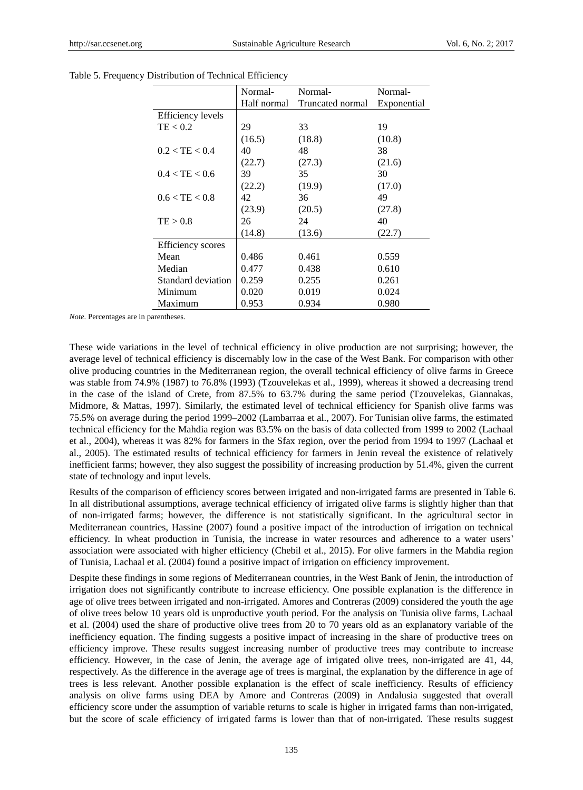|                          | Normal-     | Normal-          | Normal-     |
|--------------------------|-------------|------------------|-------------|
|                          | Half normal | Truncated normal | Exponential |
| <b>Efficiency</b> levels |             |                  |             |
| TE < 0.2                 | 29          | 33               | 19          |
|                          | (16.5)      | (18.8)           | (10.8)      |
| 0.2 < TE < 0.4           | 40          | 48               | 38          |
|                          | (22.7)      | (27.3)           | (21.6)      |
| 0.4 < TE < 0.6           | 39          | 35               | 30          |
|                          | (22.2)      | (19.9)           | (17.0)      |
| 0.6 < TE < 0.8           | 42          | 36               | 49          |
|                          | (23.9)      | (20.5)           | (27.8)      |
| TE > 0.8                 | 26          | 24               | 40          |
|                          | (14.8)      | (13.6)           | (22.7)      |
| <b>Efficiency</b> scores |             |                  |             |
| Mean                     | 0.486       | 0.461            | 0.559       |
| Median                   | 0.477       | 0.438            | 0.610       |
| Standard deviation       | 0.259       | 0.255            | 0.261       |
| Minimum                  | 0.020       | 0.019            | 0.024       |
| Maximum                  | 0.953       | 0.934            | 0.980       |

Table 5. Frequency Distribution of Technical Efficiency

*Note*. Percentages are in parentheses.

These wide variations in the level of technical efficiency in olive production are not surprising; however, the average level of technical efficiency is discernably low in the case of the West Bank. For comparison with other olive producing countries in the Mediterranean region, the overall technical efficiency of olive farms in Greece was stable from 74.9% (1987) to 76.8% (1993) (Tzouvelekas et al., 1999), whereas it showed a decreasing trend in the case of the island of Crete, from 87.5% to 63.7% during the same period (Tzouvelekas, Giannakas, Midmore, & Mattas, 1997). Similarly, the estimated level of technical efficiency for Spanish olive farms was 75.5% on average during the period 1999–2002 (Lambarraa et al., 2007). For Tunisian olive farms, the estimated technical efficiency for the Mahdia region was 83.5% on the basis of data collected from 1999 to 2002 (Lachaal et al., 2004), whereas it was 82% for farmers in the Sfax region, over the period from 1994 to 1997 (Lachaal et al., 2005). The estimated results of technical efficiency for farmers in Jenin reveal the existence of relatively inefficient farms; however, they also suggest the possibility of increasing production by 51.4%, given the current state of technology and input levels.

Results of the comparison of efficiency scores between irrigated and non-irrigated farms are presented in Table 6. In all distributional assumptions, average technical efficiency of irrigated olive farms is slightly higher than that of non-irrigated farms; however, the difference is not statistically significant. In the agricultural sector in Mediterranean countries, Hassine (2007) found a positive impact of the introduction of irrigation on technical efficiency. In wheat production in Tunisia, the increase in water resources and adherence to a water users" association were associated with higher efficiency (Chebil et al., 2015). For olive farmers in the Mahdia region of Tunisia, Lachaal et al. (2004) found a positive impact of irrigation on efficiency improvement.

Despite these findings in some regions of Mediterranean countries, in the West Bank of Jenin, the introduction of irrigation does not significantly contribute to increase efficiency. One possible explanation is the difference in age of olive trees between irrigated and non-irrigated. Amores and Contreras (2009) considered the youth the age of olive trees below 10 years old is unproductive youth period. For the analysis on Tunisia olive farms, Lachaal et al. (2004) used the share of productive olive trees from 20 to 70 years old as an explanatory variable of the inefficiency equation. The finding suggests a positive impact of increasing in the share of productive trees on efficiency improve. These results suggest increasing number of productive trees may contribute to increase efficiency. However, in the case of Jenin, the average age of irrigated olive trees, non-irrigated are 41, 44, respectively. As the difference in the average age of trees is marginal, the explanation by the difference in age of trees is less relevant. Another possible explanation is the effect of scale inefficiency. Results of efficiency analysis on olive farms using DEA by Amore and Contreras (2009) in Andalusia suggested that overall efficiency score under the assumption of variable returns to scale is higher in irrigated farms than non-irrigated, but the score of scale efficiency of irrigated farms is lower than that of non-irrigated. These results suggest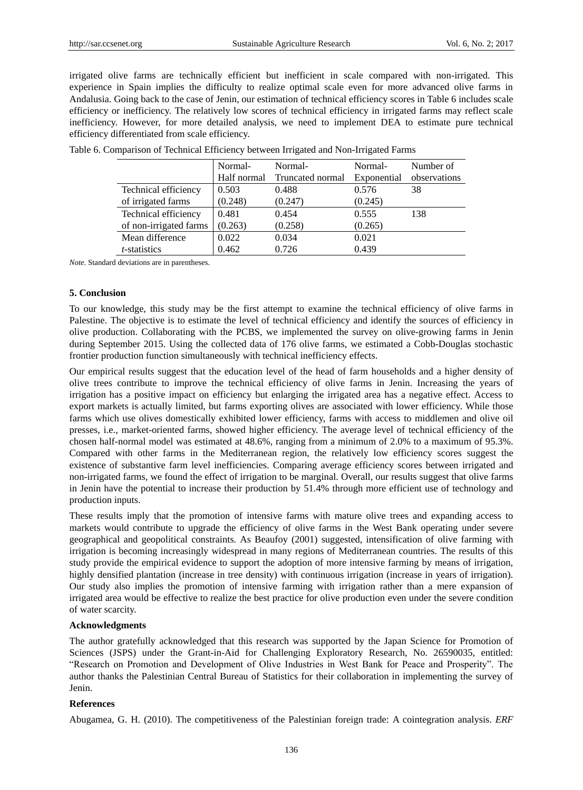irrigated olive farms are technically efficient but inefficient in scale compared with non-irrigated. This experience in Spain implies the difficulty to realize optimal scale even for more advanced olive farms in Andalusia. Going back to the case of Jenin, our estimation of technical efficiency scores in Table 6 includes scale efficiency or inefficiency. The relatively low scores of technical efficiency in irrigated farms may reflect scale inefficiency. However, for more detailed analysis, we need to implement DEA to estimate pure technical efficiency differentiated from scale efficiency.

|                        | Normal-     | Normal-          | Normal-     | Number of    |
|------------------------|-------------|------------------|-------------|--------------|
|                        | Half normal | Truncated normal | Exponential | observations |
| Technical efficiency   | 0.503       | 0.488            | 0.576       | 38           |
| of irrigated farms     | (0.248)     | (0.247)          | (0.245)     |              |
| Technical efficiency   | 0.481       | 0.454            | 0.555       | 138          |
| of non-irrigated farms | (0.263)     | (0.258)          | (0.265)     |              |
| Mean difference        | 0.022       | 0.034            | 0.021       |              |
| <i>t</i> -statistics   | 0.462       | 0.726            | 0.439       |              |

Table 6. Comparison of Technical Efficiency between Irrigated and Non-Irrigated Farms

*Note*. Standard deviations are in parentheses.

#### **5. Conclusion**

To our knowledge, this study may be the first attempt to examine the technical efficiency of olive farms in Palestine. The objective is to estimate the level of technical efficiency and identify the sources of efficiency in olive production. Collaborating with the PCBS, we implemented the survey on olive-growing farms in Jenin during September 2015. Using the collected data of 176 olive farms, we estimated a Cobb-Douglas stochastic frontier production function simultaneously with technical inefficiency effects.

Our empirical results suggest that the education level of the head of farm households and a higher density of olive trees contribute to improve the technical efficiency of olive farms in Jenin. Increasing the years of irrigation has a positive impact on efficiency but enlarging the irrigated area has a negative effect. Access to export markets is actually limited, but farms exporting olives are associated with lower efficiency. While those farms which use olives domestically exhibited lower efficiency, farms with access to middlemen and olive oil presses, i.e., market-oriented farms, showed higher efficiency. The average level of technical efficiency of the chosen half-normal model was estimated at 48.6%, ranging from a minimum of 2.0% to a maximum of 95.3%. Compared with other farms in the Mediterranean region, the relatively low efficiency scores suggest the existence of substantive farm level inefficiencies. Comparing average efficiency scores between irrigated and non-irrigated farms, we found the effect of irrigation to be marginal. Overall, our results suggest that olive farms in Jenin have the potential to increase their production by 51.4% through more efficient use of technology and production inputs.

These results imply that the promotion of intensive farms with mature olive trees and expanding access to markets would contribute to upgrade the efficiency of olive farms in the West Bank operating under severe geographical and geopolitical constraints. As Beaufoy (2001) suggested, intensification of olive farming with irrigation is becoming increasingly widespread in many regions of Mediterranean countries. The results of this study provide the empirical evidence to support the adoption of more intensive farming by means of irrigation, highly densified plantation (increase in tree density) with continuous irrigation (increase in years of irrigation). Our study also implies the promotion of intensive farming with irrigation rather than a mere expansion of irrigated area would be effective to realize the best practice for olive production even under the severe condition of water scarcity.

#### **Acknowledgments**

The author gratefully acknowledged that this research was supported by the Japan Science for Promotion of Sciences (JSPS) under the Grant-in-Aid for Challenging Exploratory Research, No. 26590035, entitled: "Research on Promotion and Development of Olive Industries in West Bank for Peace and Prosperity". The author thanks the Palestinian Central Bureau of Statistics for their collaboration in implementing the survey of Jenin.

#### **References**

Abugamea, G. H. (2010). The competitiveness of the Palestinian foreign trade: A cointegration analysis. *ERF*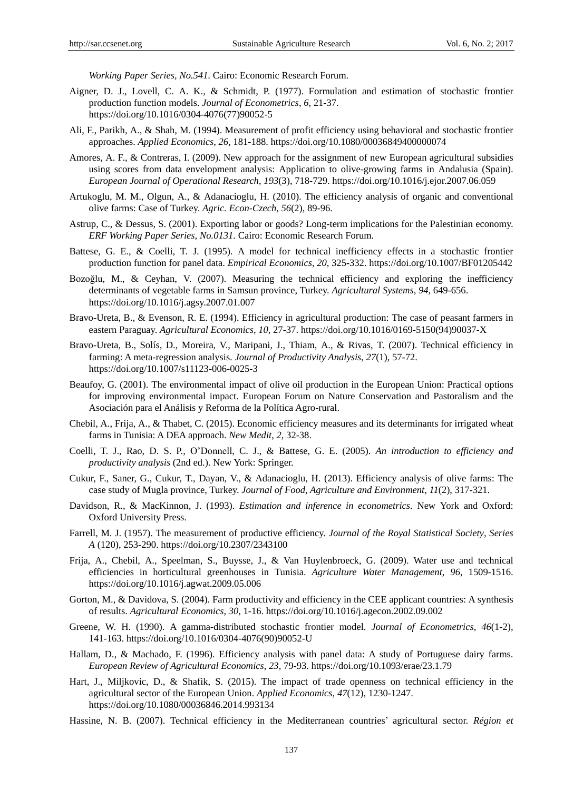*Working Paper Series, No.541*. Cairo: Economic Research Forum.

- Aigner, D. J., Lovell, C. A. K., & Schmidt, P. (1977). Formulation and estimation of stochastic frontier production function models. *Journal of Econometrics*, *6*, 21-37. https://doi.org/10.1016/0304-4076(77)90052-5
- Ali, F., Parikh, A., & Shah, M. (1994). Measurement of profit efficiency using behavioral and stochastic frontier approaches. *Applied Economics*, *26*, 181-188. https://doi.org/10.1080/00036849400000074
- Amores, A. F., & Contreras, I. (2009). New approach for the assignment of new European agricultural subsidies using scores from data envelopment analysis: Application to olive-growing farms in Andalusia (Spain). *European Journal of Operational Research*, *193*(3), 718-729. https://doi.org/10.1016/j.ejor.2007.06.059
- Artukoglu, M. M., Olgun, A., & Adanacioglu, H. (2010). The efficiency analysis of organic and conventional olive farms: Case of Turkey. *Agric. Econ-Czech*, *56*(2), 89-96.
- Astrup, C., & Dessus, S. (2001). Exporting labor or goods? Long-term implications for the Palestinian economy. *ERF Working Paper Series, No.0131*. Cairo: Economic Research Forum.
- Battese, G. E., & Coelli, T. J. (1995). A model for technical inefficiency effects in a stochastic frontier production function for panel data. *Empirical Economics*, *20*, 325-332. https://doi.org/10.1007/BF01205442
- Bozoğlu, M., & Ceyhan, V. (2007). Measuring the technical efficiency and exploring the inefficiency determinants of vegetable farms in Samsun province, Turkey. *Agricultural Systems*, *94*, 649-656. https://doi.org/10.1016/j.agsy.2007.01.007
- Bravo-Ureta, B., & Evenson, R. E. (1994). Efficiency in agricultural production: The case of peasant farmers in eastern Paraguay. *Agricultural Economics*, *10*, 27-37. https://doi.org/10.1016/0169-5150(94)90037-X
- Bravo-Ureta, B., Sol  $\acute{\textbf{s}}$ , D., Moreira, V., Maripani, J., Thiam, A., & Rivas, T. (2007). Technical efficiency in farming: A meta-regression analysis. *Journal of Productivity Analysis*, *27*(1), 57-72. https://doi.org/10.1007/s11123-006-0025-3
- Beaufoy, G. (2001). The environmental impact of olive oil production in the European Union: Practical options for improving environmental impact. European Forum on Nature Conservation and Pastoralism and the Asociación para el Análisis y Reforma de la Política Agro-rural.
- Chebil, A., Frija, A., & Thabet, C. (2015). Economic efficiency measures and its determinants for irrigated wheat farms in Tunisia: A DEA approach. *New Medit*, *2*, 32-38.
- Coelli, T. J., Rao, D. S. P., O"Donnell, C. J., & Battese, G. E. (2005). *An introduction to efficiency and productivity analysis* (2nd ed.). New York: Springer.
- Cukur, F., Saner, G., Cukur, T., Dayan, V., & Adanacioglu, H. (2013). Efficiency analysis of olive farms: The case study of Mugla province, Turkey. *Journal of Food, Agriculture and Environment*, *11*(2), 317-321.
- Davidson, R., & MacKinnon, J. (1993). *Estimation and inference in econometrics*. New York and Oxford: Oxford University Press.
- Farrell, M. J. (1957). The measurement of productive efficiency. *Journal of the Royal Statistical Society*, *Series A* (120), 253-290. https://doi.org/10.2307/2343100
- Frija, A., Chebil, A., Speelman, S., Buysse, J., & Van Huylenbroeck, G. (2009). Water use and technical efficiencies in horticultural greenhouses in Tunisia. *Agriculture Water Management*, *96*, 1509-1516. https://doi.org/10.1016/j.agwat.2009.05.006
- Gorton, M., & Davidova, S. (2004). Farm productivity and efficiency in the CEE applicant countries: A synthesis of results. *Agricultural Economics*, *30*, 1-16. https://doi.org/10.1016/j.agecon.2002.09.002
- Greene, W. H. (1990). A gamma-distributed stochastic frontier model. *Journal of Econometrics*, *46*(1-2), 141-163. https://doi.org/10.1016/0304-4076(90)90052-U
- Hallam, D., & Machado, F. (1996). Efficiency analysis with panel data: A study of Portuguese dairy farms. *European Review of Agricultural Economics*, *23*, 79-93. https://doi.org/10.1093/erae/23.1.79
- Hart, J., Miljkovic, D., & Shafik, S. (2015). The impact of trade openness on technical efficiency in the agricultural sector of the European Union. *Applied Economics*, *47*(12), 1230-1247. https://doi.org/10.1080/00036846.2014.993134
- Hassine, N. B. (2007). Technical efficiency in the Mediterranean countries' agricultural sector. *Région et*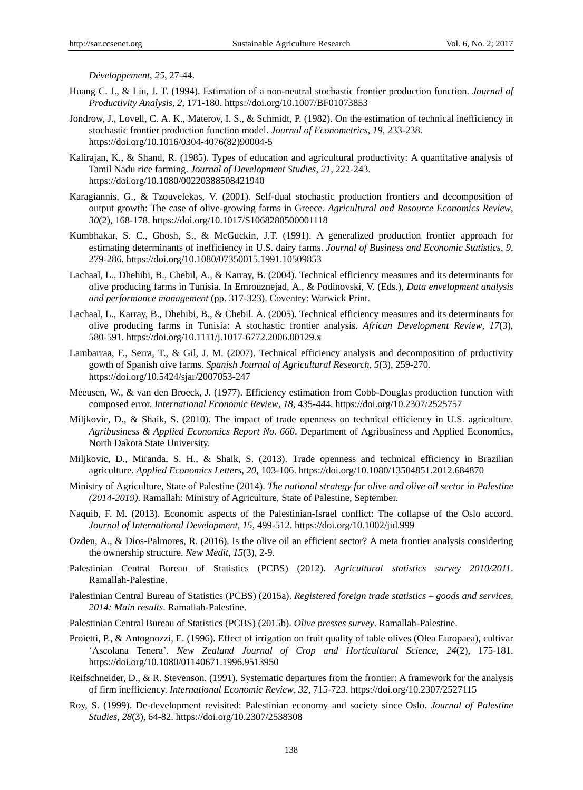*Développement*, *25*, 27-44.

- Huang C. J., & Liu, J. T. (1994). Estimation of a non-neutral stochastic frontier production function. *Journal of Productivity Analysis*, *2*, 171-180. https://doi.org/10.1007/BF01073853
- Jondrow, J., Lovell, C. A. K., Materov, I. S., & Schmidt, P. (1982). On the estimation of technical inefficiency in stochastic frontier production function model. *Journal of Econometrics*, *19*, 233-238. https://doi.org/10.1016/0304-4076(82)90004-5
- Kalirajan, K., & Shand, R. (1985). Types of education and agricultural productivity: A quantitative analysis of Tamil Nadu rice farming. *Journal of Development Studies*, *21*, 222-243. https://doi.org/10.1080/00220388508421940
- Karagiannis, G., & Tzouvelekas, V. (2001). Self-dual stochastic production frontiers and decomposition of output growth: The case of olive-growing farms in Greece. *Agricultural and Resource Economics Review*, *30*(2), 168-178. https://doi.org/10.1017/S1068280500001118
- Kumbhakar, S. C., Ghosh, S., & McGuckin, J.T. (1991). A generalized production frontier approach for estimating determinants of inefficiency in U.S. dairy farms. *Journal of Business and Economic Statistics*, *9*, 279-286. https://doi.org/10.1080/07350015.1991.10509853
- Lachaal, L., Dhehibi, B., Chebil, A., & Karray, B. (2004). Technical efficiency measures and its determinants for olive producing farms in Tunisia. In Emrouznejad, A., & Podinovski, V. (Eds.), *Data envelopment analysis and performance management* (pp. 317-323). Coventry: Warwick Print.
- Lachaal, L., Karray, B., Dhehibi, B., & Chebil. A. (2005). Technical efficiency measures and its determinants for olive producing farms in Tunisia: A stochastic frontier analysis. *African Development Review*, *17*(3), 580-591. https://doi.org/10.1111/j.1017-6772.2006.00129.x
- Lambarraa, F., Serra, T., & Gil, J. M. (2007). Technical efficiency analysis and decomposition of prductivity gowth of Spanish oive farms. *Spanish Journal of Agricultural Research*, *5*(3), 259-270. https://doi.org/10.5424/sjar/2007053-247
- Meeusen, W., & van den Broeck, J. (1977). Efficiency estimation from Cobb-Douglas production function with composed error. *International Economic Review*, *18*, 435-444. https://doi.org/10.2307/2525757
- Miljkovic, D., & Shaik, S. (2010). The impact of trade openness on technical efficiency in U.S. agriculture. *Agribusiness & Applied Economics Report No. 660*. Department of Agribusiness and Applied Economics, North Dakota State University.
- Miljkovic, D., Miranda, S. H., & Shaik, S. (2013). Trade openness and technical efficiency in Brazilian agriculture. *Applied Economics Letters*, *20*, 103-106. https://doi.org/10.1080/13504851.2012.684870
- Ministry of Agriculture, State of Palestine (2014). *The national strategy for olive and olive oil sector in Palestine (2014-2019)*. Ramallah: Ministry of Agriculture, State of Palestine, September.
- Naquib, F. M. (2013). Economic aspects of the Palestinian-Israel conflict: The collapse of the Oslo accord. *Journal of International Development*, *15*, 499-512. https://doi.org/10.1002/jid.999
- Ozden, A., & Dios-Palmores, R. (2016). Is the olive oil an efficient sector? A meta frontier analysis considering the ownership structure. *New Medit*, *15*(3), 2-9.
- Palestinian Central Bureau of Statistics (PCBS) (2012). *Agricultural statistics survey 2010/2011*. Ramallah-Palestine.
- Palestinian Central Bureau of Statistics (PCBS) (2015a). *Registered foreign trade statistics – goods and services, 2014: Main results*. Ramallah-Palestine.
- Palestinian Central Bureau of Statistics (PCBS) (2015b). *Olive presses survey*. Ramallah-Palestine.
- Proietti, P., & Antognozzi, E. (1996). Effect of irrigation on fruit quality of table olives (Olea Europaea), cultivar "Ascolana Tenera". *New Zealand Journal of Crop and Horticultural Science*, *24*(2), 175-181. https://doi.org/10.1080/01140671.1996.9513950
- Reifschneider, D., & R. Stevenson. (1991). Systematic departures from the frontier: A framework for the analysis of firm inefficiency. *International Economic Review*, *32*, 715-723. https://doi.org/10.2307/2527115
- Roy, S. (1999). De-development revisited: Palestinian economy and society since Oslo. *Journal of Palestine Studies*, *28*(3), 64-82. https://doi.org/10.2307/2538308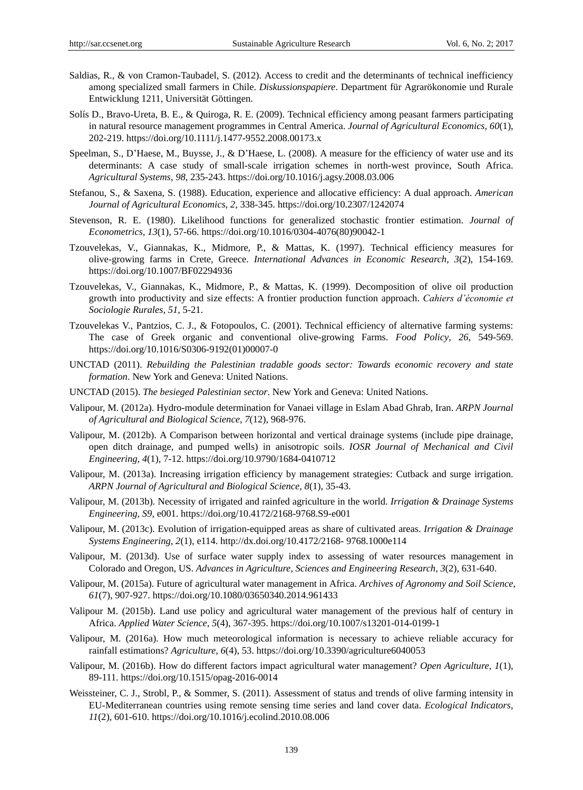- Saldias, R., & von Cramon-Taubadel, S. (2012). Access to credit and the determinants of technical inefficiency among specialized small farmers in Chile. *Diskussionspapiere*. Department für Agrarökonomie und Rurale Entwicklung 1211, Universität Göttingen.
- Sol á D., Bravo-Ureta, B. E., & Quiroga, R. E. (2009). Technical efficiency among peasant farmers participating in natural resource management programmes in Central America. *Journal of Agricultural Economics*, *60*(1), 202-219. https://doi.org/10.1111/j.1477-9552.2008.00173.x
- Speelman, S., D'Haese, M., Buysse, J., & D'Haese, L. (2008). A measure for the efficiency of water use and its determinants: A case study of small-scale irrigation schemes in north-west province, South Africa. *Agricultural Systems*, *98*, 235-243. https://doi.org/10.1016/j.agsy.2008.03.006
- Stefanou, S., & Saxena, S. (1988). Education, experience and allocative efficiency: A dual approach. *American Journal of Agricultural Economics*, *2*, 338-345. https://doi.org/10.2307/1242074
- Stevenson, R. E. (1980). Likelihood functions for generalized stochastic frontier estimation. *Journal of Econometrics*, *13*(1), 57-66. https://doi.org/10.1016/0304-4076(80)90042-1
- Tzouvelekas, V., Giannakas, K., Midmore, P., & Mattas, K. (1997). Technical efficiency measures for olive-growing farms in Crete, Greece. *International Advances in Economic Research*, *3*(2), 154-169. https://doi.org/10.1007/BF02294936
- Tzouvelekas, V., Giannakas, K., Midmore, P., & Mattas, K. (1999). Decomposition of olive oil production growth into productivity and size effects: A frontier production function approach. *Cahiers d'économie et Sociologie Rurales*, *51*, 5-21.
- Tzouvelekas V., Pantzios, C. J., & Fotopoulos, C. (2001). Technical efficiency of alternative farming systems: The case of Greek organic and conventional olive-growing Farms. *Food Policy*, *26*, 549-569. https://doi.org/10.1016/S0306-9192(01)00007-0
- UNCTAD (2011). *Rebuilding the Palestinian tradable goods sector: Towards economic recovery and state formation*. New York and Geneva: United Nations.
- UNCTAD (2015). *The besieged Palestinian sector*. New York and Geneva: United Nations.
- Valipour, M. (2012a). Hydro-module determination for Vanaei village in Eslam Abad Ghrab, Iran. *ARPN Journal of Agricultural and Biological Science*, *7*(12), 968-976.
- Valipour, M. (2012b). A Comparison between horizontal and vertical drainage systems (include pipe drainage, open ditch drainage, and pumped wells) in anisotropic soils. *IOSR Journal of Mechanical and Civil Engineering*, *4*(1), 7-12. https://doi.org/10.9790/1684-0410712
- Valipour, M. (2013a). Increasing irrigation efficiency by management strategies: Cutback and surge irrigation. *ARPN Journal of Agricultural and Biological Science*, *8*(1), 35-43.
- Valipour, M. (2013b). Necessity of irrigated and rainfed agriculture in the world. *Irrigation & Drainage Systems Engineering*, *S9*, e001. https://doi.org/10.4172/2168-9768.S9-e001
- Valipour, M. (2013c). Evolution of irrigation-equipped areas as share of cultivated areas. *Irrigation & Drainage Systems Engineering*, *2*(1), e114. http://dx.doi.org/10.4172/2168- 9768.1000e114
- Valipour, M. (2013d). Use of surface water supply index to assessing of water resources management in Colorado and Oregon, US. *Advances in Agriculture, Sciences and Engineering Research*, *3*(2), 631-640.
- Valipour, M. (2015a). Future of agricultural water management in Africa. *Archives of Agronomy and Soil Science*, *61*(7), 907-927. https://doi.org/10.1080/03650340.2014.961433
- Valipour M. (2015b). Land use policy and agricultural water management of the previous half of century in Africa. *Applied Water Science*, *5*(4), 367-395. https://doi.org/10.1007/s13201-014-0199-1
- Valipour, M. (2016a). How much meteorological information is necessary to achieve reliable accuracy for rainfall estimations? *Agriculture*, *6*(4), 53. https://doi.org/10.3390/agriculture6040053
- Valipour, M. (2016b). How do different factors impact agricultural water management? *Open Agriculture*, *1*(1), 89-111. https://doi.org/10.1515/opag-2016-0014
- Weissteiner, C. J., Strobl, P., & Sommer, S. (2011). Assessment of status and trends of olive farming intensity in EU-Mediterranean countries using remote sensing time series and land cover data. *Ecological Indicators*, *11*(2), 601-610. https://doi.org/10.1016/j.ecolind.2010.08.006